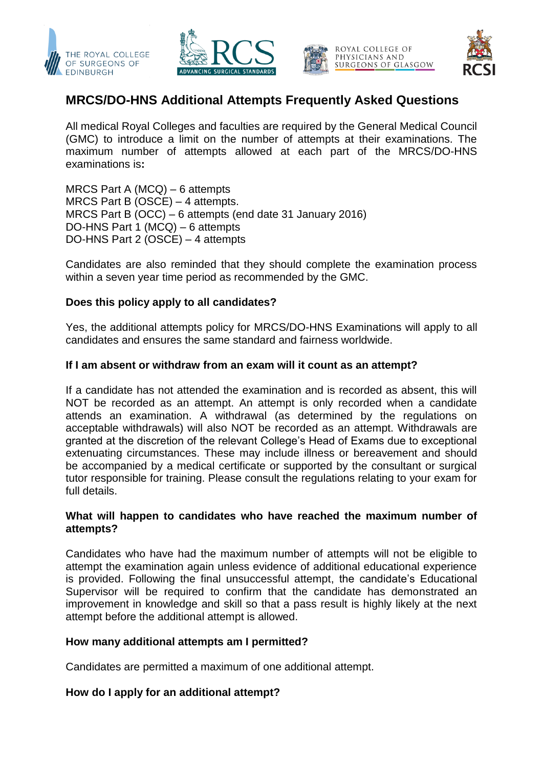







# **MRCS/DO-HNS Additional Attempts Frequently Asked Questions**

All medical Royal Colleges and faculties are required by the General Medical Council (GMC) to introduce a limit on the number of attempts at their examinations. The maximum number of attempts allowed at each part of the MRCS/DO-HNS examinations is**:**

MRCS Part A (MCQ) – 6 attempts MRCS Part B (OSCE) – 4 attempts. MRCS Part B (OCC) – 6 attempts (end date 31 January 2016) DO-HNS Part 1 (MCQ) – 6 attempts DO-HNS Part 2 (OSCE) – 4 attempts

Candidates are also reminded that they should complete the examination process within a seven year time period as recommended by the GMC.

### **Does this policy apply to all candidates?**

Yes, the additional attempts policy for MRCS/DO-HNS Examinations will apply to all candidates and ensures the same standard and fairness worldwide.

### **If I am absent or withdraw from an exam will it count as an attempt?**

If a candidate has not attended the examination and is recorded as absent, this will NOT be recorded as an attempt. An attempt is only recorded when a candidate attends an examination. A withdrawal (as determined by the regulations on acceptable withdrawals) will also NOT be recorded as an attempt. Withdrawals are granted at the discretion of the relevant College's Head of Exams due to exceptional extenuating circumstances. These may include illness or bereavement and should be accompanied by a medical certificate or supported by the consultant or surgical tutor responsible for training. Please consult the regulations relating to your exam for full details.

### **What will happen to candidates who have reached the maximum number of attempts?**

Candidates who have had the maximum number of attempts will not be eligible to attempt the examination again unless evidence of additional educational experience is provided. Following the final unsuccessful attempt, the candidate's Educational Supervisor will be required to confirm that the candidate has demonstrated an improvement in knowledge and skill so that a pass result is highly likely at the next attempt before the additional attempt is allowed.

### **How many additional attempts am I permitted?**

Candidates are permitted a maximum of one additional attempt.

### **How do I apply for an additional attempt?**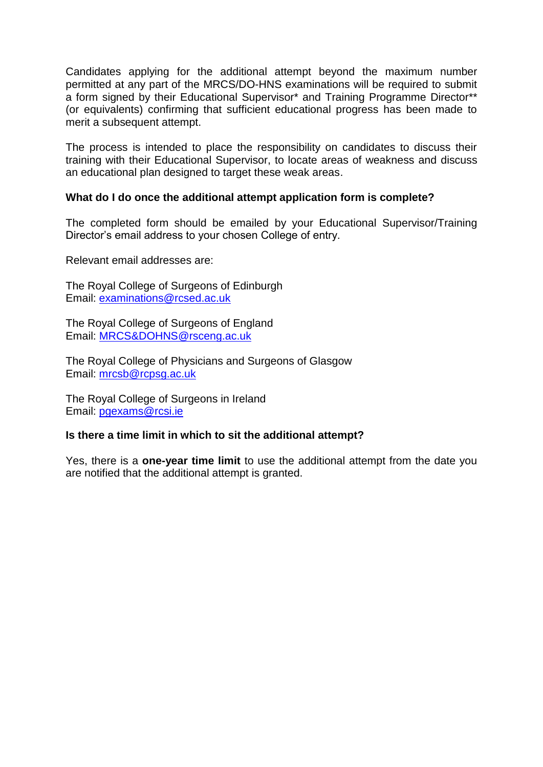Candidates applying for the additional attempt beyond the maximum number permitted at any part of the MRCS/DO-HNS examinations will be required to submit a form signed by their Educational Supervisor\* and Training Programme Director\*\* (or equivalents) confirming that sufficient educational progress has been made to merit a subsequent attempt.

The process is intended to place the responsibility on candidates to discuss their training with their Educational Supervisor, to locate areas of weakness and discuss an educational plan designed to target these weak areas.

### **What do I do once the additional attempt application form is complete?**

The completed form should be emailed by your Educational Supervisor/Training Director's email address to your chosen College of entry.

Relevant email addresses are:

The Royal College of Surgeons of Edinburgh Email: [examinations@rcsed.ac.uk](mailto:examinations@rcsed.ac.uk)

The Royal College of Surgeons of England Email: [MRCS&DOHNS@rsceng.ac.uk](mailto:MRCS&DOHNS@rsceng.ac.uk)

The Royal College of Physicians and Surgeons of Glasgow Email: [mrcsb@rcpsg.ac.uk](mailto:mrcsb@rcpsg.ac.uk)

The Royal College of Surgeons in Ireland Email: [pgexams@rcsi.ie](mailto:pgexams@rcsi.ie)

### **Is there a time limit in which to sit the additional attempt?**

Yes, there is a **one-year time limit** to use the additional attempt from the date you are notified that the additional attempt is granted.